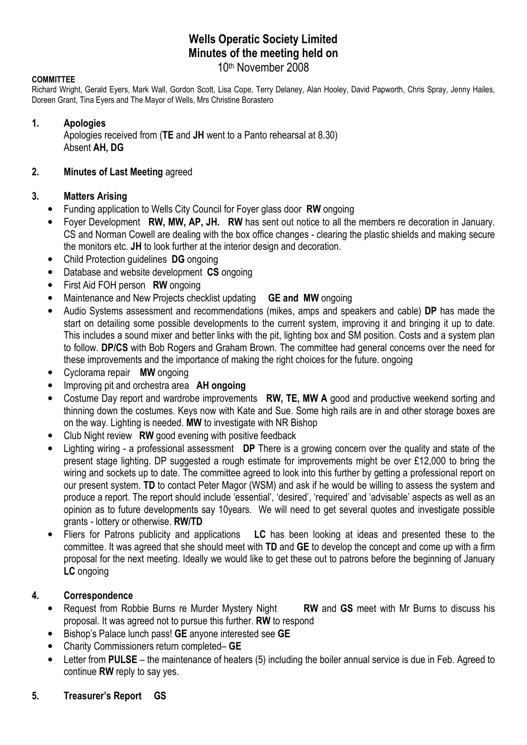# Wells Operatic Society Limited Minutes of the meeting held on 10th November 2008

#### **COMMITTEE**

Richard Wright, Gerald Eyers, Mark Wall, Gordon Scott, Lisa Cope, Terry Delaney, Alan Hooley, David Papworth, Chris Spray, Jenny Hailes, Doreen Grant, Tina Eyers and The Mayor of Wells, Mrs Christine Borastero

#### 1. Apologies

Apologies received from (TE and JH went to a Panto rehearsal at 8.30) Absent AH, DG

#### 2. Minutes of Last Meeting agreed

#### 3. Matters Arising

- Funding application to Wells City Council for Foyer glass door RW ongoing
- Foyer Development RW, MW, AP, JH. RW has sent out notice to all the members re decoration in January. CS and Norman Cowell are dealing with the box office changes - clearing the plastic shields and making secure the monitors etc. JH to look further at the interior design and decoration.
- Child Protection quidelines DG ongoing
- Database and website development CS ongoing
- First Aid FOH person RW ongoing
- Maintenance and New Projects checklist updating **GE and MW** ongoing
- Audio Systems assessment and recommendations (mikes, amps and speakers and cable) DP has made the start on detailing some possible developments to the current system, improving it and bringing it up to date. This includes a sound mixer and better links with the pit, lighting box and SM position. Costs and a system plan to follow. DP/CS with Bob Rogers and Graham Brown. The committee had general concerns over the need for these improvements and the importance of making the right choices for the future. ongoing
- Cyclorama repair MW ongoing
- Improving pit and orchestra area **AH ongoing**
- Costume Day report and wardrobe improvements RW, TE, MW A good and productive weekend sorting and thinning down the costumes. Keys now with Kate and Sue. Some high rails are in and other storage boxes are on the way. Lighting is needed. MW to investigate with NR Bishop
- Club Night review RW good evening with positive feedback
- Lighting wiring a professional assessment DP There is a growing concern over the quality and state of the present stage lighting. DP suggested a rough estimate for improvements might be over £12,000 to bring the wiring and sockets up to date. The committee agreed to look into this further by getting a professional report on our present system. TD to contact Peter Magor (WSM) and ask if he would be willing to assess the system and produce a report. The report should include 'essential', 'desired', 'required' and 'advisable' aspects as well as an opinion as to future developments say 10years. We will need to get several quotes and investigate possible grants - lottery or otherwise. RW/TD
- Fliers for Patrons publicity and applications LC has been looking at ideas and presented these to the committee. It was agreed that she should meet with TD and GE to develop the concept and come up with a firm proposal for the next meeting. Ideally we would like to get these out to patrons before the beginning of January LC ongoing

### 4. Correspondence

- Request from Robbie Burns re Murder Mystery Night RW and GS meet with Mr Burns to discuss his proposal. It was agreed not to pursue this further. RW to respond
- Bishop's Palace lunch pass! GE anyone interested see GE
- Charity Commissioners return completed– GE
- Letter from PULSE the maintenance of heaters (5) including the boiler annual service is due in Feb. Agreed to continue RW reply to say yes.
- 5. Treasurer's Report GS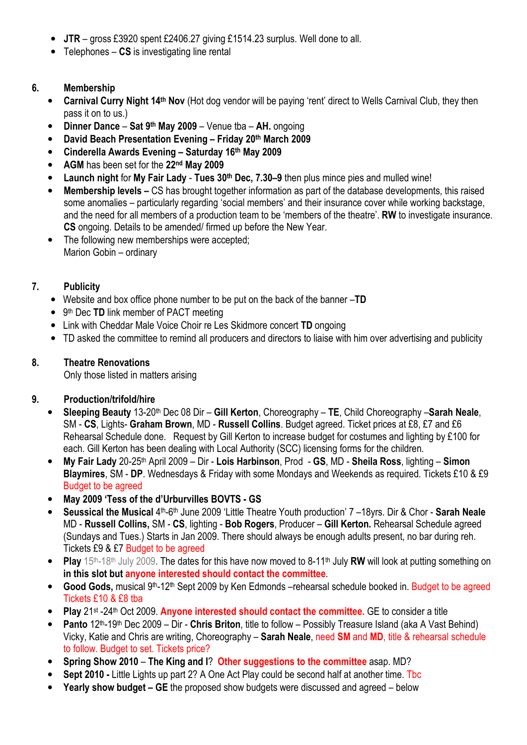- JTR gross £3920 spent £2406.27 giving £1514.23 surplus. Well done to all.
- Telephones  $-$  CS is investigating line rental

# 6. Membership

- Carnival Curry Night 14<sup>th</sup> Nov (Hot dog vendor will be paying 'rent' direct to Wells Carnival Club, they then pass it on to us.)
- Dinner Dance Sat 9<sup>th</sup> May 2009 Venue tba AH. ongoing
- David Beach Presentation Evening Friday 20th March 2009
- Cinderella Awards Evening Saturday 16th May 2009
- AGM has been set for the 22nd May 2009
- Launch night for My Fair Lady Tues 30<sup>th</sup> Dec, 7.30–9 then plus mince pies and mulled wine!
- Membership levels CS has brought together information as part of the database developments, this raised some anomalies – particularly regarding 'social members' and their insurance cover while working backstage, and the need for all members of a production team to be 'members of the theatre'. RW to investigate insurance. CS ongoing. Details to be amended/ firmed up before the New Year.
- The following new memberships were accepted: Marion Gobin – ordinary

# 7. Publicity

- Website and box office phone number to be put on the back of the banner -TD
- 9<sup>th</sup> Dec TD link member of PACT meeting
- Link with Cheddar Male Voice Choir re Les Skidmore concert TD ongoing
- TD asked the committee to remind all producers and directors to liaise with him over advertising and publicity

## 8. Theatre Renovations

Only those listed in matters arising

## 9. Production/trifold/hire

- Sleeping Beauty 13-20<sup>th</sup> Dec 08 Dir Gill Kerton, Choreography TE, Child Choreography Sarah Neale, SM - CS, Lights- Graham Brown, MD - Russell Collins. Budget agreed. Ticket prices at £8, £7 and £6 Rehearsal Schedule done. Request by Gill Kerton to increase budget for costumes and lighting by £100 for each. Gill Kerton has been dealing with Local Authority (SCC) licensing forms for the children.
- My Fair Lady 20-25<sup>th</sup> April 2009 Dir Lois Harbinson, Prod GS, MD Sheila Ross, lighting Simon Blaymires, SM - DP. Wednesdays & Friday with some Mondays and Weekends as required. Tickets £10 & £9 Budget to be agreed
- May 2009 'Tess of the d'Urburvilles BOVTS GS
- Seussical the Musical 4<sup>th</sup>-6<sup>th</sup> June 2009 'Little Theatre Youth production' 7 -18yrs. Dir & Chor Sarah Neale MD - Russell Collins, SM - CS, lighting - Bob Rogers, Producer – Gill Kerton. Rehearsal Schedule agreed (Sundays and Tues.) Starts in Jan 2009. There should always be enough adults present, no bar during reh. Tickets £9 & £7 Budget to be agreed
- Play  $15<sup>th</sup>-18<sup>th</sup>$  July 2009. The dates for this have now moved to 8-11<sup>th</sup> July RW will look at putting something on in this slot but anyone interested should contact the committee.
- Good Gods, musical 9<sup>th</sup>-12<sup>th</sup> Sept 2009 by Ken Edmonds –rehearsal schedule booked in. Budget to be agreed Tickets £10 & £8 tba
- Play 21<sup>st</sup> -24<sup>th</sup> Oct 2009. Anyone interested should contact the committee. GE to consider a title
- Panto 12th-19th Dec 2009 Dir Chris Briton, title to follow Possibly Treasure Island (aka A Vast Behind) Vicky, Katie and Chris are writing, Choreography – Sarah Neale, need SM and MD, title & rehearsal schedule to follow. Budget to set. Tickets price?
- Spring Show 2010 The King and I? Other suggestions to the committee asap. MD?
- **Sept 2010 Little Lights up part 2? A One Act Play could be second half at another time. The**
- Yearly show budget GE the proposed show budgets were discussed and agreed below